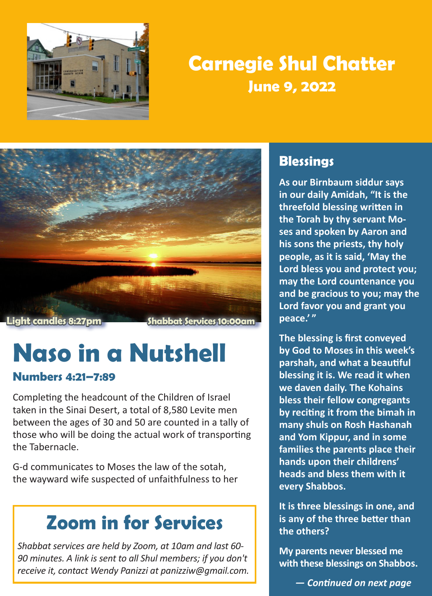

### **Carnegie Shul Chatter June 9, 2022**



# **Naso in a Nutshell**

#### **Numbers 4:21–7:89**

Completing the headcount of the Children of Israel taken in the Sinai Desert, a total of 8,580 Levite men between the ages of 30 and 50 are counted in a tally of those who will be doing the actual work of transporting the Tabernacle.

G-d communicates to Moses the law of the sotah, the wayward wife suspected of unfaithfulness to her

### **Zoom in for Services**

*Shabbat services are held by Zoom, at 10am and last 60- 90 minutes. A link is sent to all Shul members; if you don't receive it, contact Wendy Panizzi at panizziw@gmail.com.*

### **Blessings**

**As our Birnbaum siddur says in our daily Amidah, "It is the threefold blessing written in the Torah by thy servant Moses and spoken by Aaron and his sons the priests, thy holy people, as it is said, 'May the Lord bless you and protect you; may the Lord countenance you and be gracious to you; may the Lord favor you and grant you peace.' "**

**The blessing is first conveyed by God to Moses in this week's parshah, and what a beautiful blessing it is. We read it when we daven daily. The Kohains bless their fellow congregants by reciting it from the bimah in many shuls on Rosh Hashanah and Yom Kippur, and in some families the parents place their hands upon their childrens' heads and bless them with it every Shabbos.**

**It is three blessings in one, and is any of the three better than the others?**

**My parents never blessed me with these blessings on Shabbos.** 

 *— Continued on next page*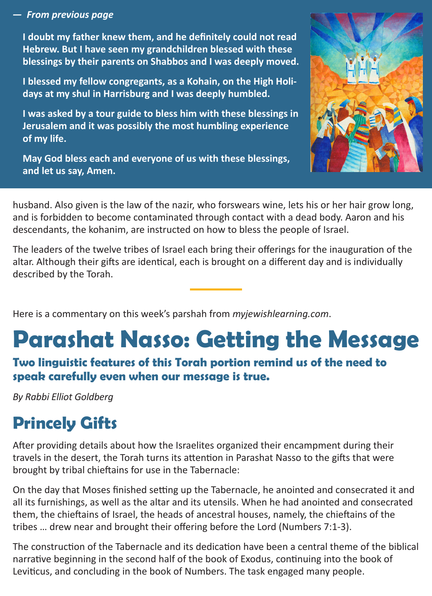#### *— From previous page*

**I doubt my father knew them, and he definitely could not read Hebrew. But I have seen my grandchildren blessed with these blessings by their parents on Shabbos and I was deeply moved.**

**I blessed my fellow congregants, as a Kohain, on the High Holidays at my shul in Harrisburg and I was deeply humbled.**

**I was asked by a tour guide to bless him with these blessings in Jerusalem and it was possibly the most humbling experience of my life.**

**May God bless each and everyone of us with these blessings, and let us say, Amen.**



husband. Also given is the law of the nazir, who forswears wine, lets his or her hair grow long, and is forbidden to become contaminated through contact with a dead body. Aaron and his descendants, the kohanim, are instructed on how to bless the people of Israel.

The leaders of the twelve tribes of Israel each bring their offerings for the inauguration of the altar. Although their gifts are identical, each is brought on a different day and is individually described by the Torah.

Here is a commentary on this week's parshah from *myjewishlearning.com*.

## **Parashat Nasso: Getting the Message**

**Two linguistic features of this Torah portion remind us of the need to speak carefully even when our message is true.**

*By Rabbi Elliot Goldberg* 

### **Princely Gifts**

After providing details about how the Israelites organized their encampment during their travels in the desert, the Torah turns its attention in Parashat Nasso to the gifts that were brought by tribal chieftains for use in the Tabernacle:

On the day that Moses finished setting up the Tabernacle, he anointed and consecrated it and all its furnishings, as well as the altar and its utensils. When he had anointed and consecrated them, the chieftains of Israel, the heads of ancestral houses, namely, the chieftains of the tribes … drew near and brought their offering before the Lord (Numbers 7:1-3).

The construction of the Tabernacle and its dedication have been a central theme of the biblical narrative beginning in the second half of the book of Exodus, continuing into the book of Leviticus, and concluding in the book of Numbers. The task engaged many people.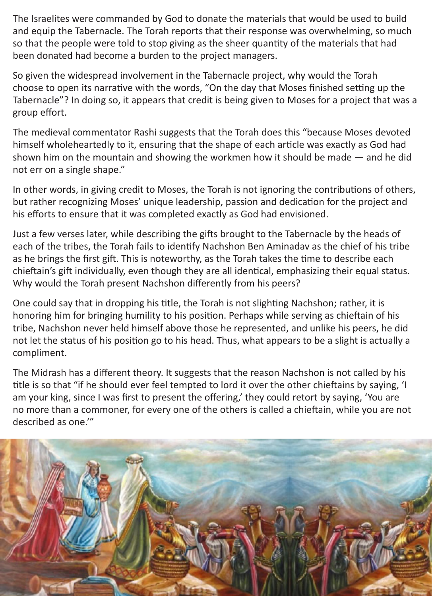The Israelites were commanded by God to donate the materials that would be used to build and equip the Tabernacle. The Torah reports that their response was overwhelming, so much so that the people were told to stop giving as the sheer quantity of the materials that had been donated had become a burden to the project managers.

So given the widespread involvement in the Tabernacle project, why would the Torah choose to open its narrative with the words, "On the day that Moses finished setting up the Tabernacle"? In doing so, it appears that credit is being given to Moses for a project that was a group effort.

The medieval commentator Rashi suggests that the Torah does this "because Moses devoted himself wholeheartedly to it, ensuring that the shape of each article was exactly as God had shown him on the mountain and showing the workmen how it should be made — and he did not err on a single shape."

In other words, in giving credit to Moses, the Torah is not ignoring the contributions of others, but rather recognizing Moses' unique leadership, passion and dedication for the project and his efforts to ensure that it was completed exactly as God had envisioned.

Just a few verses later, while describing the gifts brought to the Tabernacle by the heads of each of the tribes, the Torah fails to identify Nachshon Ben Aminadav as the chief of his tribe as he brings the first gift. This is noteworthy, as the Torah takes the time to describe each chieftain's gift individually, even though they are all identical, emphasizing their equal status. Why would the Torah present Nachshon differently from his peers?

One could say that in dropping his title, the Torah is not slighting Nachshon; rather, it is honoring him for bringing humility to his position. Perhaps while serving as chieftain of his tribe, Nachshon never held himself above those he represented, and unlike his peers, he did not let the status of his position go to his head. Thus, what appears to be a slight is actually a compliment.

The Midrash has a different theory. It suggests that the reason Nachshon is not called by his title is so that "if he should ever feel tempted to lord it over the other chieftains by saying, 'I am your king, since I was first to present the offering,' they could retort by saying, 'You are no more than a commoner, for every one of the others is called a chieftain, while you are not described as one.'"